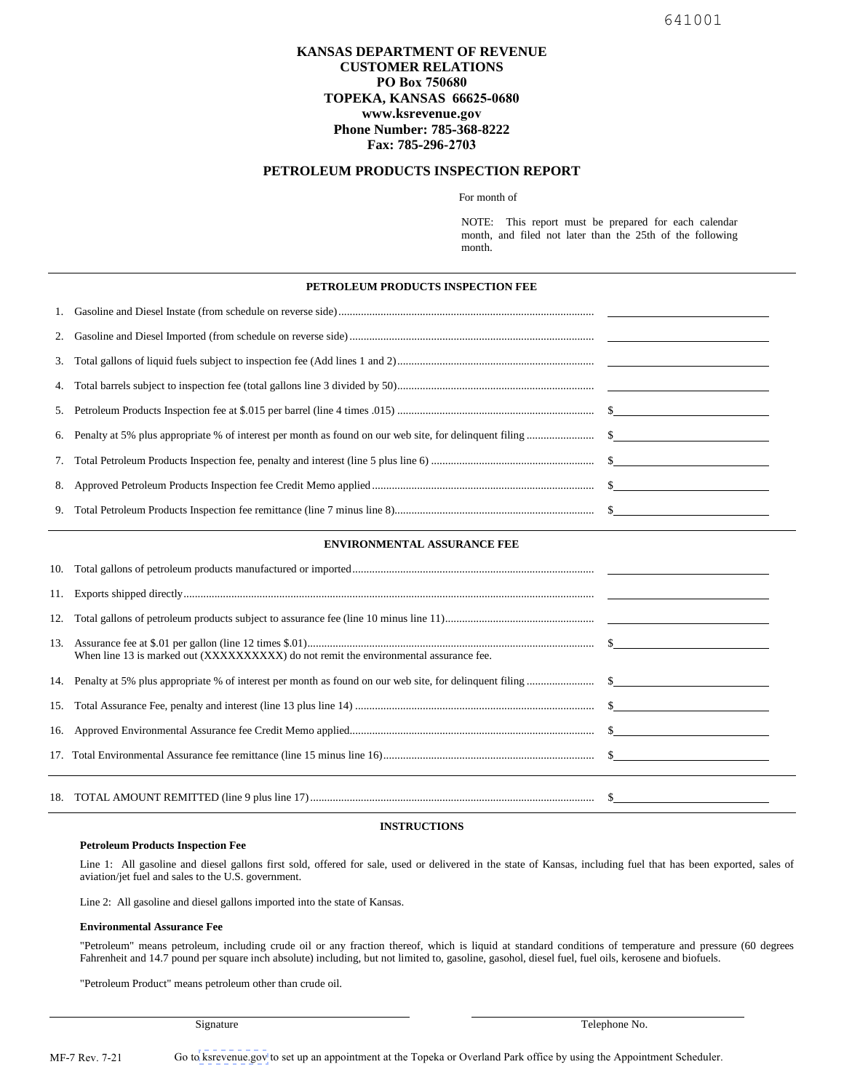# **KANSAS DEPARTMENT OF REVENUE CUSTOMER RELATIONS PO Box 750680 TOPEKA, KANSAS 66625-0680 www.ksrevenue.gov Phone Number: 785-368-8222 Fax: 785-296-2703**

## **PETROLEUM PRODUCTS INSPECTION REPORT**

For month of

NOTE: This report must be prepared for each calendar month, and filed not later than the 25th of the following month.

### **PETROLEUM PRODUCTS INSPECTION FEE**

### **ENVIRONMENTAL ASSURANCE FEE**

| 12. |                                                                                       |  |
|-----|---------------------------------------------------------------------------------------|--|
|     | When line 13 is marked out (XXXXXXXXXX) do not remit the environmental assurance fee. |  |
|     |                                                                                       |  |
|     |                                                                                       |  |
|     |                                                                                       |  |
|     |                                                                                       |  |
|     |                                                                                       |  |

## **INSTRUCTIONS**

#### **Petroleum Products Inspection Fee**

Line 1: All gasoline and diesel gallons first sold, offered for sale, used or delivered in the state of Kansas, including fuel that has been exported, sales of aviation/jet fuel and sales to the U.S. government.

Line 2: All gasoline and diesel gallons imported into the state of Kansas.

#### **Environmental Assurance Fee**

"Petroleum" means petroleum, including crude oil or any fraction thereof, which is liquid at standard conditions of temperature and pressure (60 degrees Fahrenheit and 14.7 pound per square inch absolute) including, but not limited to, gasoline, gasohol, diesel fuel, fuel oils, kerosene and biofuels.

"Petroleum Product" means petroleum other than crude oil.

Signature Telephone No.